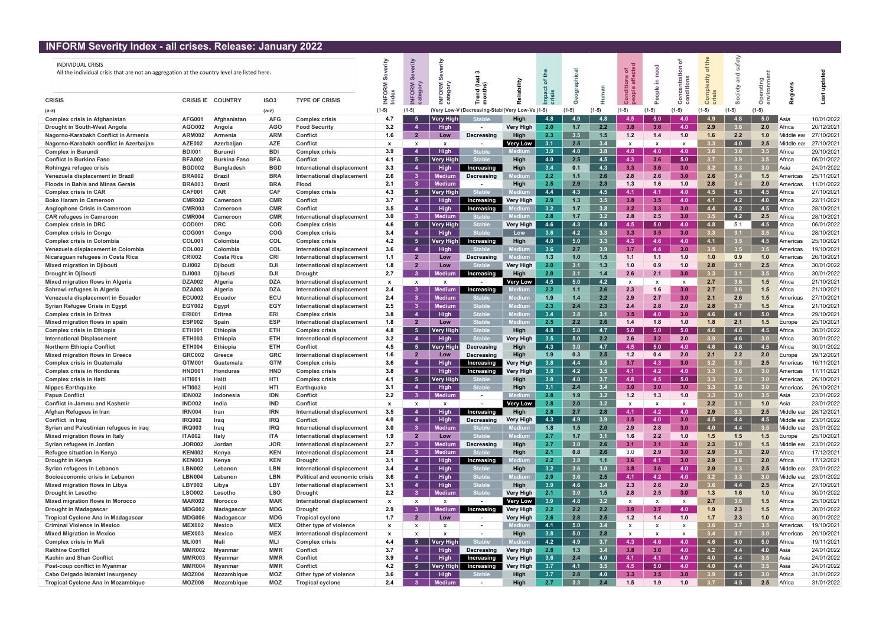## INFORM Severity Index - all crises. Release: January 2022

| <u> INFORM JEVENIY INGEX - AN CHISES. REIEASE. JANUALY ZUZZ</u>                                                         |                        |                      |                          |                                                     |                           |                                  |                          |                                 |                               |               |            |            |                           |                   |                  |                  |            |                  |                   |                          |
|-------------------------------------------------------------------------------------------------------------------------|------------------------|----------------------|--------------------------|-----------------------------------------------------|---------------------------|----------------------------------|--------------------------|---------------------------------|-------------------------------|---------------|------------|------------|---------------------------|-------------------|------------------|------------------|------------|------------------|-------------------|--------------------------|
| <b>INDIVIDUAL CRISIS</b><br>All the individual crisis that are not an aggregation at the country level are listed here. |                        |                      |                          |                                                     | ⋧<br>ō                    |                                  | È<br>Σ<br>δŘ<br>O        | この<br>곧 혼                       | ੈਂ                            | 옵<br>৳        |            |            | ð,<br>품 음                 | e<br>C<br>르.<br>ഄ | 향 품              | 습<br>ഁ<br>ξĪ     | ≥          | $\circ$          |                   | 을                        |
| <b>CRISIS</b>                                                                                                           | <b>CRISIS ID</b>       | <b>COUNTRY</b>       | ISO <sub>3</sub>         | <b>TYPE OF CRISIS</b>                               |                           | $\circ$                          |                          |                                 |                               |               |            |            |                           |                   |                  |                  |            | $\circ$          |                   |                          |
| (a-z)                                                                                                                   |                        |                      | (a-z)                    |                                                     | $(1-5)$                   | (1-5)                            | (Very Low-V              | (Decreasing-Stable              | Very Low-Ve (1-5)             |               |            | (1-5)      | $(1-5)$                   |                   | $(1-5)$          | $(1-5)$          |            | $(1-5)$          |                   |                          |
| <b>Complex crisis in Afghanistan</b>                                                                                    | <b>AFG001</b>          | Afghanistan          | <b>AFG</b>               | Complex crisis                                      | 4.7                       | - 5                              | Very High                | <b>Stable</b>                   | High                          | 4.8           | 4.9        | 4.8        | 4.5                       | 5.0               | 4.0              |                  | 4.8        | 5.0              | ∥Asia             | 10/01/2022               |
| Drought in South-West Angola                                                                                            | AGO002                 | Angola               | <b>AGO</b>               | <b>Food Security</b>                                | 3.2                       | $\overline{4}$                   | High                     | $\blacksquare$                  | <b>Very High</b>              | 2.0           | 1.7        | 2.2        | 3.8                       | 3.6               | 4.0              | 2.9              | 3.6        | 2.0              | Africa            | 20/12/2021               |
| Nagorno-Karabakh Conflict in Armenia                                                                                    | <b>ARM002</b>          | Armenia              | <b>ARM</b>               | <b>Conflict</b>                                     | 1.6                       | $\overline{2}$                   | Low                      | Decreasing                      | High                          | 2.3           | 3.5        | 1.5        | 1.2                       | 1.4               | 1.0              | 1.6              | 2.2        | 1.0              | Middle ea         | 27/10/2021               |
| Nagorno-Karabakh conflict in Azerbaijan                                                                                 | <b>AZE002</b>          | Azerbaijan           | <b>AZE</b>               | Conflict                                            | X                         | $\mathsf{x}$                     | $\mathsf{x}$             |                                 | <b>Very Low</b>               | 3.1           | 2.5        | 3.4        | $\mathsf{x}$              | x                 | X                |                  | 4.0        | 2.5              | Middle ea         | 27/10/2021               |
| <b>Complex in Burundi</b>                                                                                               | <b>BDI001</b>          | <b>Burundi</b>       | <b>BDI</b>               | <b>Complex crisis</b>                               | 3.9                       | $\overline{4}$                   | High                     | <b>Stable</b>                   | lediu                         | 3.9           | 4.0        | 3.8        | 4.0                       | 4.0               | 4.0              |                  | 3.6        | 3.5 <sub>1</sub> | Africa            | 29/10/2021               |
| <b>Conflict in Burkina Faso</b>                                                                                         | <b>BFA002</b>          | <b>Burkina Faso</b>  | <b>BFA</b>               | <b>Conflict</b>                                     | 4.1                       | - 5                              | <b>Very High</b>         | <b>Stable</b>                   | High                          | 4.0           | 2.5        | 4.5        | 4.3                       | 3.6               | 5.0              |                  | 3.9        | 3.5              | Africa            | 06/01/2022               |
| Rohingya refugee crisis                                                                                                 | <b>BGD002</b>          | <b>Bangladesh</b>    | <b>BGD</b>               | International displacement                          | 3.3                       | $\overline{4}$                   | High                     | Increasing                      | High                          | 3.4           | 0.1        | 4.3        | 3.3                       | 3.6               | 3.0              |                  | 3.3        | 3.0 <sub>1</sub> | Asia              | 24/01/2022               |
| Venezuela displacement in Brazi                                                                                         | <b>BRA002</b>          | <b>Brazil</b>        | <b>BRA</b>               | International displacement                          | 2.6                       | 3 <sup>1</sup>                   | <b>Mediun</b>            | Decreasing                      | ediun                         | $2.2^{\circ}$ | 1.1        | 2.6        | 2.8                       | 2.6               | 3.0              | 2.6              | 3.4        | 1.5              | America           | 25/11/2021               |
| <b>Floods in Bahia and Minas Gerais</b>                                                                                 | <b>BRA003</b>          | <b>Brazil</b>        | <b>BRA</b>               | Flood                                               | 2.1                       | 3 <sup>1</sup>                   | <b>Medium</b>            |                                 | High                          | 2.5           | 2.9        | 2.3        | 1.3                       | 1.6               | 1.0              | 2.8              | 3.4        | 2.0              | Americas          | 11/01/2022               |
| <b>Complex crisis in CAR</b>                                                                                            | <b>CAF001</b>          | <b>CAR</b>           | <b>CAF</b>               | <b>Complex crisis</b>                               | 4.3                       | 5 <sub>5</sub>                   | <b>Very High</b>         | <b>Stable</b>                   |                               | 4.4           | 4.3        | 4.5        | 4.1                       | 4.1               | 4.0              |                  | 4.5        | 4.5              | Africa            | 27/10/2021               |
| <b>Boko Haram in Cameroon</b>                                                                                           | <b>CMR002</b>          | Cameroon             | <b>CMR</b>               | <b>Conflict</b>                                     | 3.7                       | $\overline{4}$                   | <b>High</b>              | Increasing                      | <b>Very High</b>              | 2.9           | 1.3        | 3.5        | 3.8                       | 3.5               | 4.0              | 4.1              | 4.2        | 4.0              | Africa            | 22/11/2021               |
| Anglophone Crisis in Cameroon                                                                                           | <b>CMR003</b>          | Cameroon             | <b>CMR</b>               | <b>Conflict</b>                                     | 3.5                       | $\overline{4}$                   | <b>High</b>              | Increasing                      |                               | 3.2           | 1.7        | 3.8        | 3.2                       | 3.3               | 3.0 <sub>1</sub> | 4.4              | 4.2        | 4.5              | Africa            | 28/10/2021               |
| <b>CAR refugees in Cameroon</b>                                                                                         | <b>CMR004</b>          | Cameroon             | <b>CMR</b>               | International displacement                          | 3.0                       | 3 <sup>°</sup>                   | <b>Mediun</b>            | Stable                          |                               | 2.8           | 1.7        | 3.2        | 2.8                       | 2.5               | 3.0              |                  | 4.2        | 2.5              | Africa            | 28/10/2021               |
| <b>Complex crisis in DRC</b>                                                                                            | COD001                 | <b>DRC</b>           | <b>COD</b>               | <b>Complex crisis</b>                               | 4.6                       | $-5$                             | <b>Very High</b>         | <b>Stable</b>                   | <b>Very High</b>              | 4.6           | 4.3        | 4.8        | 4.5                       | 5.0               | 4.0              | 4.8              | 5.1        | 4.5              | Africa            | 06/01/2022               |
| <b>Complex crisis in Congo</b>                                                                                          | COG00                  | Congo                | COG                      | Complex crisis                                      | 3.4                       | $\overline{4}$                   | <b>High</b>              | <b>Stable</b>                   | Low                           | 3.6           | 4.2        | 3.3        | 3.3                       | 3.5               | 3.0 <sub>1</sub> | 3.3 <sub>1</sub> | 3.1        | 3.5              | Africa            | 28/10/2021               |
| <b>Complex crisis in Colombia</b>                                                                                       | <b>COL001</b>          | Colombia             | <b>COL</b>               | <b>Complex crisis</b>                               | 4.2                       | 5 <sub>5</sub>                   | Very High                | Increasing                      | High                          | 4.0           | 5.0        | 3.3        | 4.3                       | 4.6               | 4.0              | 4.1              | 3.5        | 4.5              | America           | 25/10/2021               |
| Venezuela displacement in Colombia                                                                                      | <b>COL002</b>          | Colombia             | <b>COL</b>               | International displacement                          | 3.6                       | $\overline{a}$                   | High                     | Stable                          | ediu                          | 3.6           | 2.7        | 3.9        | 3.7                       | 4.4               | 3.0              |                  | 3.5        | 3.5              | Americas          | 19/10/2021               |
| Nicaraguan refugees in Costa Rica                                                                                       | <b>CRI002</b>          | <b>Costa Rica</b>    | <b>CRI</b>               | International displacement                          | 1.1                       | $\overline{2}$                   | Low                      | Decreasing                      | edium                         | 1.3           | 1.0        | 1.5        | 1.1                       | 1.1               | 1.0              | 1.0              | 0.9        | 1.0              | Americas          | 26/10/2021               |
| <b>Mixed migration in Djibouti</b>                                                                                      | <b>DJI002</b>          | <b>Djibouti</b>      | DJI                      | International displacement                          | 1.8                       | $\overline{2}$                   | Low                      | <b>Stable</b>                   | <b>Very High</b>              | 2.0           | 3.1        | 1.3        | 1.0                       | 0.9               | 1.0              | 2.8              | 3.1        | 2.5              | Africa            | 30/01/2022               |
| <b>Drought in Djibouti</b>                                                                                              | <b>DJ1003</b>          | <b>Djibouti</b>      | DJI                      | <b>Drought</b>                                      | 2.7                       | 3 <sup>°</sup>                   | <b>Medium</b>            | Increasing                      | High                          | 2.0           | 3.1        | 1.4        | 2.6                       | 2.1               | 3.0              | 3.3 <sub>1</sub> | 3.1        | 3.5              | Africa            | 30/01/2022               |
| Mixed migration flows in Algeria                                                                                        | <b>DZA002</b>          | Algeria              | <b>DZA</b>               | International displacement                          | $\mathbf{x}$              | $\mathbf{x}$                     | $\mathsf{x}$             |                                 | <b>Very Low</b>               | 4.5           | 5.0        | 4.2        | $\boldsymbol{\mathsf{x}}$ | X                 | X                | 2.7              | 3.6        | 1.5              | Africa            | 21/10/2021               |
| Sahrawi refugees in Algeria                                                                                             | <b>DZA003</b>          | Algeria              | <b>DZA</b>               | International displacement                          | 2.4                       | $\mathbf{3}$                     | <b>Mediu</b>             | Increasing                      |                               | $2.2^{\circ}$ | 1.1        | 2.6        | 2.3                       | 1.6               | 3.0              | 2.7              | 3.6        | 1.5              | Africa            | 21/10/2021               |
| Venezuela displacement in Ecuador                                                                                       | <b>ECU002</b>          | Ecuador              | <b>ECU</b>               | International displacement                          | 2.4                       | 3 <sup>°</sup>                   | <b>Medium</b>            | Stable                          | ledium                        | 1.9           | 1.4        | 2.2        | 2.9                       | 2.7               | 3.0              | 2.1              | 2.6        | 1.5              | America           | 27/10/2021               |
| <b>Syrian Refugee Crisis in Egypt</b>                                                                                   | <b>EGY002</b>          | Egypt                | EGY                      | International displacement                          | 2.5                       | 3 <sup>°</sup>                   | Medium                   | <b>Stable</b>                   | edium                         | 2.3           | 2.4        | 2.3        | 2.4                       | 2.8               | 2.0              | 2.8              | 3.7        | 1.5              | Africa            | 21/10/2021               |
| <b>Complex crisis in Eritrea</b>                                                                                        | <b>ERI001</b>          | Eritrea              | <b>ERI</b>               | <b>Complex crisis</b>                               | 3.8                       | $\overline{4}$                   | High                     | <b>Stable</b>                   | ediu                          | 3.4           | 3.8        | 3.1        | 3.5                       | 4.0               | 3.0              |                  | 4.1        | 5.0              | Africa            | 29/10/2021               |
| Mixed migration flows in spain                                                                                          | <b>ESP002</b>          | Spain                | <b>ESP</b>               | International displacement                          | 1.8<br>4.8                | $\overline{2}$<br>- 5            | Low                      | <b>Stable</b><br><b>Stable</b>  | ledium                        | 2.5<br>4.8    | 2.2<br>5.0 | 2.6<br>4.7 | 1.4<br>5.0                | 1.8<br>5.0        | 1.0<br>5.0       | 1.8              | 2.1<br>4.6 | 1.5              | Europe            | 25/10/2021               |
| <b>Complex crisis in Ethiopia</b><br><b>International Displacement</b>                                                  | ETH00<br><b>ETH003</b> | Ethiopia<br>Ethiopia | ETH<br><b>ETH</b>        | <b>Complex crisis</b><br>International displacement | 3.2                       | $\overline{4}$                   | <b>Very High</b><br>High | <b>Stable</b>                   | High<br><b>Very High</b>      | 3.5           | 5.0        | 2.2        | 2.6                       | 3.2               | 2.0              | -4.6             | 4.6        | 4.5<br>3.0       | ∣Africa<br>Africa | 30/01/2022<br>30/01/2022 |
| <b>Northern Ethiopia Conflict</b>                                                                                       | <b>ETH004</b>          | Ethiopia             | <b>ETH</b>               | <b>Conflict</b>                                     | 4.5                       | $-5$                             | <b>Very Higl</b>         | Decreasing                      | High                          | 4.3           | 3.0        | 4.7        | 4.5                       | 5.0               | 4.0              | 4.6              | 4.6        | 4.5              | Africa            | 30/01/2022               |
| <b>Mixed migration flows in Greece</b>                                                                                  | <b>GRC002</b>          | Greece               | <b>GRC</b>               | International displacement                          | 1.6                       | $\overline{2}$                   | Low                      | Decreasing                      | High                          | 1.9           | 0.3        | 2.5        | 1.2                       | 0.4               | 2.0              | 2.1              | 2.2        | 2.0              | Europe            | 29/12/2021               |
| <b>Complex crisis in Guatemala</b>                                                                                      | GTM00 <sup>-</sup>     | Guatemala            | <b>GTM</b>               | <b>Complex crisis</b>                               | 3.6                       | $\overline{4}$                   | <b>High</b>              | Increasing                      | <b>Very High</b>              | 3.8           | 4.4        | 3.5        | 3.7                       | 4.3               | 3.0              | 3.2              | 3.8        | 2.5              | Americas          | 16/11/2021               |
| <b>Complex crisis in Honduras</b>                                                                                       | HND00                  | <b>Honduras</b>      | <b>HND</b>               | <b>Complex crisis</b>                               | 3.8                       | $\overline{4}$                   | <b>High</b>              | Increasing                      | Very High                     | 3.8           | 4.2        | 3.5        | 4.1                       | 4.2               | 4.0              | 3.3 <sub>1</sub> | 3.6        | 3.0 <sub>1</sub> | Americas          | 17/11/2021               |
| <b>Complex crisis in Haiti</b>                                                                                          | <b>HTI001</b>          |                      | HTI                      | <b>Complex crisis</b>                               | 4.1                       | $-5$                             | <b>Very High</b>         |                                 | High                          | 3.8           | 4.0        | 37         | $\overline{A}$ 8          | 4.5               | 5.0              |                  |            |                  | Americas          | 26/10/2021               |
| <b>Nippes Earthquake</b>                                                                                                | <b>HTI002</b>          | Haiti                | HTI                      | <b>Earthquake</b>                                   | 3.1                       | -4                               | <b>High</b>              | <b>Stable</b>                   | High                          | 3.1           | 2.4        | 3.4        | 3.0                       | 3.0               | 3.0              | 3.3 <sub>1</sub> | 3.6        | 3.0 <sub>1</sub> | Americas          | 26/10/2021               |
| <b>Papua Conflict</b>                                                                                                   | <b>IDN002</b>          | Indonesia            | <b>IDN</b>               | <b>Conflict</b>                                     | 2.2                       | 3 <sup>°</sup>                   | <b>Medium</b>            | $\sim$                          | ledium                        | 2.8           | 1.9        | 3.2        | 1.2                       | 1.3               | 1.0              | 3.3 <sub>1</sub> | 3.0        | 3.5              | Asia              | 23/01/2022               |
| <b>Conflict in Jammu and Kashmir</b>                                                                                    | <b>IND002</b>          | India                | <b>IND</b>               | <b>Conflict</b>                                     | $\mathbf{x}$              | $\mathsf{X}$                     | X                        | $\overline{\phantom{a}}$        | <b>Very Low</b>               | 2.8           | 2.0        | 3.2        | X                         | X                 | $\mathsf{x}$     | 2.2              | 3.1        | 1.0              | Asia              | 23/01/2022               |
| Afghan Refugees in Iran                                                                                                 | <b>IRN004</b>          | Iran                 | <b>IRN</b>               | International displacement                          | 3.5                       | -4                               | <b>High</b>              | Increasing                      | High                          | 2.8           | 2.7        | 2.8        | $-4.1$                    | 4.2               | 4.0              | 2.9              | 3.3        | 2.5              | Middle eas        | 28/12/2021               |
| Conflict in Iraq                                                                                                        | <b>IRQ002</b>          | Iraq                 | <b>IRQ</b>               | <b>Conflict</b>                                     | 4.0                       | $\overline{4}$                   | High                     | Decreasing                      | <b>Very High</b>              | 4.3           | 4.9        | 3.9        | 3.5                       | 4.0               | 3.0              | 4.5              | 4.4        | 4.5              | Middle eas        | 23/01/2022               |
| Syrian and Palestinian refugees in iraq                                                                                 | <b>IRQ003</b>          | Iraq                 | <b>IRQ</b>               | International displacement                          | 3.0                       | 3 <sup>°</sup>                   | Mediun                   | <b>Stable</b>                   | edium                         | 1.8           | 1.5        | 2.0        | 2.9                       | 2.8               | 3.0              | 4.0              | 4.4        | 3.5              | Middle eas        | 23/01/2022               |
| Mixed migration flows in Italy                                                                                          | <b>ITA002</b>          | Italy                | <b>ITA</b>               | International displacement                          | 1.9                       | $\overline{2}$                   | Low                      | <b>Stable</b>                   | <b>ledium</b>                 | 2.7           | 1.7        | 3.1        | 1.6                       | 2.2               | 1.0              | 1.5              | 1.5        | 1.5              | Europe            | 25/10/2021               |
| Syrian refugees in Jordan                                                                                               | <b>JOR002</b>          | Jordan               | <b>JOR</b>               | International displacement                          | 2.7                       | 3 <sup>1</sup>                   | <b>Mediun</b>            | Decreasing                      | High                          | 2.7           | 3.0        | 2.6        | 3.1                       | 3.1               | 3.0              | 2.3              | 3.0        | 1.5              | Middle ea         | 23/01/2022               |
| Refugee situation in Kenya                                                                                              | <b>KEN002</b>          | Kenya                | <b>KEN</b>               | International displacement                          | 2.8                       | 3 <sup>1</sup>                   | <b>Medium</b>            | <b>Stable</b>                   | High                          | 2.1           | 0.8        | 2.6        | 3.0                       | 2.9               | 3.0              | 2.9              | 3.6        | 2.0              | Africa            | 17/12/2021               |
| Drought in Kenya                                                                                                        | <b>KEN003</b>          | Kenya                | <b>KEN</b>               | <b>Drought</b>                                      | 3.1                       | $\overline{4}$                   | High                     | Increasing                      | ledium                        | 2.2           | 3.8        | 1.1        | 3.6                       | 4.1               | 3.0              | 2.9              | 3.6        | 2.0              | Africa            | 17/12/2021               |
| Syrian refugees in Lebanon                                                                                              | <b>LBN002</b>          | Lebanon              | <b>LBN</b>               | International displacement                          | 3.4                       | $\overline{4}$                   | High                     | Stable                          | High                          | 3.2           | 3.6        | 3.0        | 3.8                       | 3.6               | 4.0              | 2.9              | 3.3        | 2.5              | Middle eas        | 23/01/2022               |
| Socioeconomic crisis in Lebanon                                                                                         | <b>LBN004</b>          | Lebanon              | <b>LBN</b>               | Political and economic crisis                       | 3.6                       | $\overline{4}$                   | High                     | <b>Stable</b>                   | ledium                        | 2.9           | 3.6        | 2.5        | 4.1                       | 4.2               | 4.0              | 3.2              | 3.3        | 3.0 <sub>1</sub> | Middle eas        | 23/01/2022               |
| Mixed migration flows in Libya                                                                                          | <b>LBY002</b>          | Libya                | LBY                      | International displacement                          | 3.1                       | $\overline{4}$                   | High                     | <b>Stable</b>                   | High                          | 3.9           | 4.6        | 3.4        | 2.3                       | 2.6               | 2.0              | -3.6             | 4.4        | 2.5              | Africa            | 27/10/2021               |
| <b>Drought in Lesotho</b>                                                                                               | <b>LSO002</b>          | Lesotho              | LSO                      | <b>Drought</b>                                      | 2.2                       | 3 <sup>1</sup>                   | <b>Medium</b>            | <b>Stable</b>                   | <b>Very High</b>              | 2.1           | 3.0        | 1.5        | 2.8                       | 2.5               | 3.0              | 1.3              | 1.6        | 1.0              | Africa            | 30/01/2022               |
| <b>Mixed migration flows in Morocco</b>                                                                                 | <b>MAR002</b>          | <b>Morocco</b>       | <b>MAR</b>               | International displacement                          | $\mathbf{x}$              | $\mathsf{X}$                     | $\mathsf{x}$             |                                 | <b>Very Low</b>               | 3.9           | 4.8        | 3.2        | $\mathsf{x}$              | $\mathsf{x}$      | X                | 2.7              | 3.6        | 1.5              | Africa            | 25/10/2021               |
| <b>Drought in Madagascar</b>                                                                                            | <b>MDG002</b>          | Madagascar           | <b>MDG</b>               | <b>Drought</b>                                      | 2.9                       | 3 <sup>1</sup>                   | <b>Medium</b>            | Increasing                      | <b>Very High</b>              | 2.2           | 2.2        | 2.2        | 3.9                       | 3.7               | 4.0              | 1.9              | 2.3        | 1.5              | Africa            | 30/01/2022               |
| <b>Tropical Cyclone Ana in Madagascar</b>                                                                               | <b>MDG006</b>          | Madagascar           | <b>MDG</b>               | <b>Tropical cyclone</b>                             | 1.7                       | $\mathbf{2}$                     | Low                      | $\blacksquare$                  | <b>Very High</b>              | 2.6           | 2.8        | 2.5        | 1.2                       | 1.4               | 1.0              | 1.7              | 2.3        | 1.0              | Africa            | 30/01/2022               |
| <b>Criminal Violence in Mexico</b>                                                                                      | <b>MEX002</b>          | <b>Mexico</b>        | <b>MEX</b>               | Other type of violence                              | $\boldsymbol{\mathsf{x}}$ | $\boldsymbol{\mathsf{x}}$        | X                        | $\blacksquare$                  | lediun                        | 4.1           | 5.0        | 3.4        | X                         | x                 |                  |                  | 3.7        | 3.5              | Americas          | 19/10/2021               |
| <b>Mixed Migration in Mexico</b>                                                                                        | <b>MEX003</b>          | Mexico               | <b>MEX</b>               | International displacement                          | $\mathbf{x}$              | $\mathbf{x}$                     | $\mathsf{x}$             | $\blacksquare$<br><b>Stable</b> | High                          | 3.8           | 5.0        | 2.8        | $\mathsf{x}$              | $\mathsf{x}$      | X                | 3.4              | 3.7        | 3.0 <sub>1</sub> | Americas          | 20/10/2021               |
| <b>Complex crisis in Mali</b>                                                                                           | <b>MLI001</b>          | Mali                 | MLI                      | <b>Complex crisis</b>                               | 4.4                       | 5                                | Very High                |                                 | lediu                         | 4.2           | 4.9        | 3.7        | 4.3                       | 4.6               | 4.0              | 4.6              | 4.0        | 5.0              | Africa            | 19/11/2021               |
| <b>Rakhine Conflict</b><br><b>Kachin and Shan Conflict</b>                                                              | MMR002<br>MMR003       | Myanmar              | <b>MMR</b><br><b>MMR</b> | <b>Conflict</b><br><b>Conflict</b>                  | 3.7<br>3.9                | $\overline{4}$<br>$\overline{4}$ | High<br>High             | Decreasing<br>Increasing        | <b>Very High</b>              | 2.8<br>3.6    | 1.3<br>2.4 | 3.4<br>4.0 | 3.8<br>4.1                | 3.6<br>4.1        | 4.0<br>4.0       | 4.2<br>4.0       | 4.4<br>4.4 | 4.0<br>3.5       | Asia<br> Asia     | 24/01/2022<br>24/01/2022 |
| Post-coup conflict in Myanmar                                                                                           | MMR004                 | Myanmar<br>Myanmar   | <b>MMR</b>               | <b>Conflict</b>                                     | 4.2                       | $-5$                             | Very High                | Increasing                      | <b>Very High</b><br>Very High | 3.7           | 4.1        | 3.5        | 4.5                       | 5.0               | 4.0              | 4.0              | 4.4        | 3.5              | Asia              | 24/01/2022               |
| Cabo Delgado Islamist Insurgency                                                                                        | <b>MOZ004</b>          | Mozambique           | <b>MOZ</b>               | Other type of violence                              | 3.6                       | $\overline{4}$                   | High                     | Stable                          | High                          | 3.7           | 2.8        | 4.0        | 3.3                       | 3.5               | 3.0              | 3.9              | 4.5        | 3.0 <sub>1</sub> | Africa            | 31/01/2022               |
| <b>Tropical Cyclone Ana in Mozambique</b>                                                                               | <b>MOZ008</b>          | Mozambique           | <b>MOZ</b>               | <b>Tropical cyclone</b>                             | 2.4                       | 3 <sup>°</sup>                   | <b>Medium</b>            | $\overline{\phantom{a}}$        | High                          | 2.7           | 3.3        | 2.4        | 1.5                       | 1.9               | 1.0              | 3.7              | 4.5        | 2.5              | Africa            | 31/01/2022               |
|                                                                                                                         |                        |                      |                          |                                                     |                           |                                  |                          |                                 |                               |               |            |            |                           |                   |                  |                  |            |                  |                   |                          |